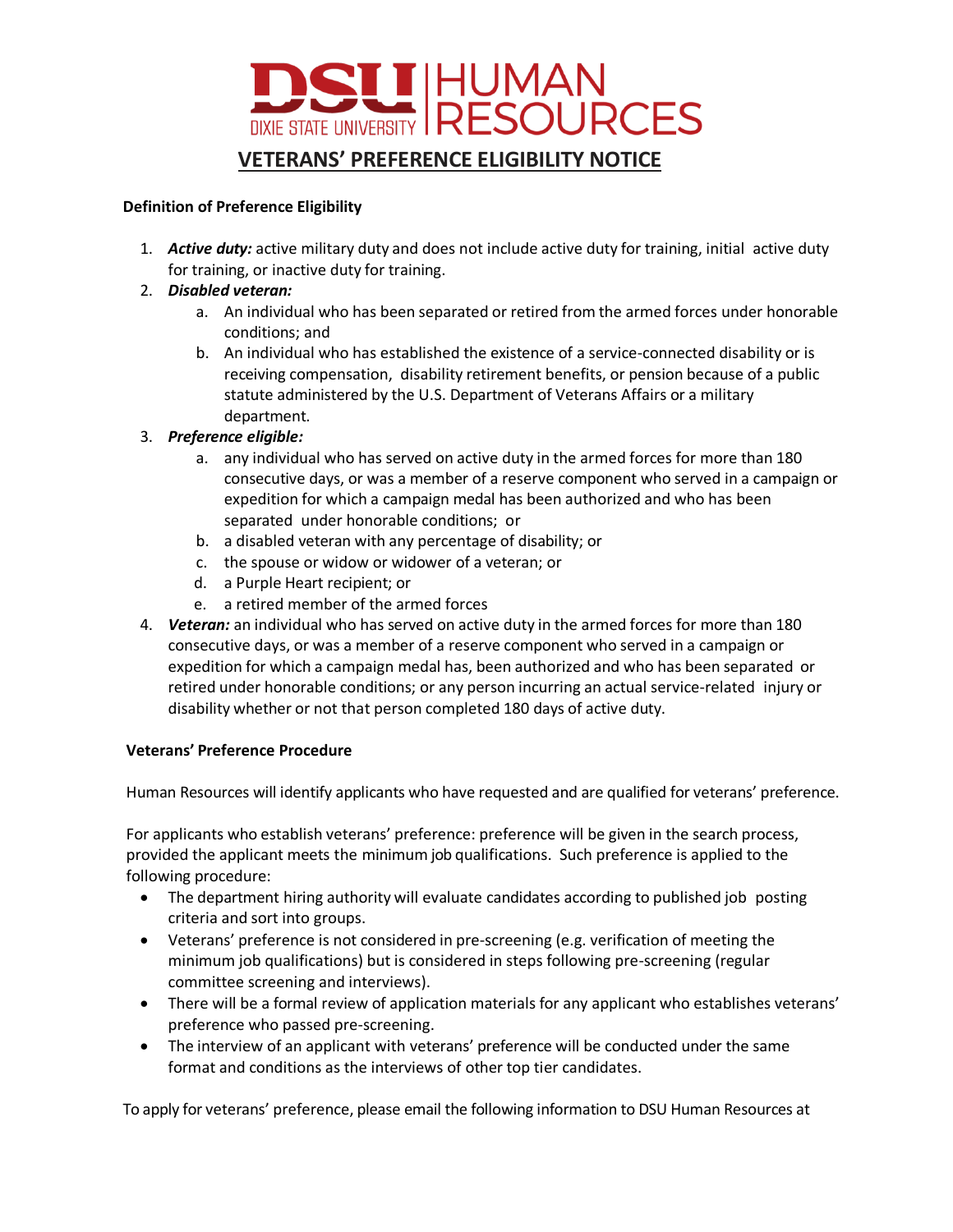

### **Definition of Preference Eligibility**

1. *Active duty:* active military duty and does not include active duty for training, initial active duty for training, or inactive duty for training.

## 2. *Disabled veteran:*

- a. An individual who has been separated or retired from the armed forces under honorable conditions; and
- b. An individual who has established the existence of a service-connected disability or is receiving compensation, disability retirement benefits, or pension because of a public statute administered by the U.S. Department of Veterans Affairs or a military department.

# 3. *Preference eligible:*

- a. any individual who has served on active duty in the armed forces for more than 180 consecutive days, or was a member of a reserve component who served in a campaign or expedition for which a campaign medal has been authorized and who has been separated under honorable conditions; or
- b. a disabled veteran with any percentage of disability; or
- c. the spouse or widow or widower of a veteran; or
- d. a Purple Heart recipient; or
- e. a retired member of the armed forces
- 4. *Veteran:* an individual who has served on active duty in the armed forces for more than 180 consecutive days, or was a member of a reserve component who served in a campaign or expedition for which a campaign medal has, been authorized and who has been separated or retired under honorable conditions; or any person incurring an actual service-related injury or disability whether or not that person completed 180 days of active duty.

## **Veterans' Preference Procedure**

Human Resources will identify applicants who have requested and are qualified for veterans' preference.

For applicants who establish veterans' preference: preference will be given in the search process, provided the applicant meets the minimum job qualifications. Such preference is applied to the following procedure:

- The department hiring authority will evaluate candidates according to published job posting criteria and sort into groups.
- Veterans' preference is not considered in pre-screening (e.g. verification of meeting the minimum job qualifications) but is considered in steps following pre-screening (regular committee screening and interviews).
- There will be a formal review of application materials for any applicant who establishes veterans' preference who passed pre-screening.
- The interview of an applicant with veterans' preference will be conducted under the same format and conditions as the interviews of other top tier candidates.

To apply for veterans' preference, please email the following information to DSU Human Resources at